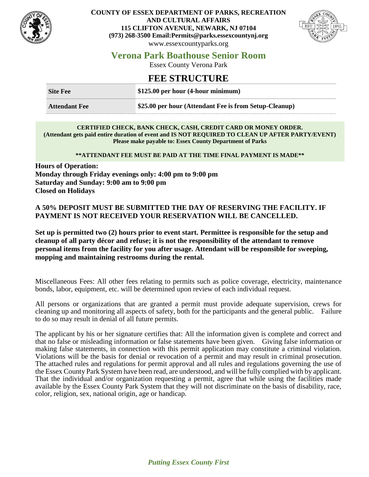

### **COUNTY OF ESSEX DEPARTMENT OF PARKS, RECREATION AND CULTURAL AFFAIRS 115 CLIFTON AVENUE, NEWARK, NJ 07104 (973) 268-3500 Email:Permits@parks.essexcountynj.org** www.essexcountyparks.org



# **Verona Park Boathouse Senior Room**

Essex County Verona Park

## **FEE STRUCTURE**

| <b>Site Fee</b>      | $$125.00$ per hour (4-hour minimum)                    |  |
|----------------------|--------------------------------------------------------|--|
| <b>Attendant Fee</b> | \$25.00 per hour (Attendant Fee is from Setup-Cleanup) |  |

#### **CERTIFIED CHECK, BANK CHECK, CASH, CREDIT CARD OR MONEY ORDER. (Attendant gets paid entire duration of event and IS NOT REQUIRED TO CLEAN UP AFTER PARTY/EVENT) Please make payable to: Essex County Department of Parks**

### **\*\*ATTENDANT FEE MUST BE PAID AT THE TIME FINAL PAYMENT IS MADE\*\***

**Hours of Operation: Monday through Friday evenings only: 4:00 pm to 9:00 pm Saturday and Sunday: 9:00 am to 9:00 pm Closed on Holidays**

### **A 50% DEPOSIT MUST BE SUBMITTED THE DAY OF RESERVING THE FACILITY. IF PAYMENT IS NOT RECEIVED YOUR RESERVATION WILL BE CANCELLED.**

**Set up is permitted two (2) hours prior to event start. Permittee is responsible for the setup and cleanup of all party décor and refuse; it is not the responsibility of the attendant to remove personal items from the facility for you after usage. Attendant will be responsible for sweeping, mopping and maintaining restrooms during the rental.**

Miscellaneous Fees: All other fees relating to permits such as police coverage, electricity, maintenance bonds, labor, equipment, etc. will be determined upon review of each individual request.

All persons or organizations that are granted a permit must provide adequate supervision, crews for cleaning up and monitoring all aspects of safety, both for the participants and the general public. Failure to do so may result in denial of all future permits.

The applicant by his or her signature certifies that: All the information given is complete and correct and that no false or misleading information or false statements have been given. Giving false information or making false statements, in connection with this permit application may constitute a criminal violation. Violations will be the basis for denial or revocation of a permit and may result in criminal prosecution. The attached rules and regulations for permit approval and all rules and regulations governing the use of the Essex County Park System have been read, are understood, and will be fully complied with by applicant. That the individual and/or organization requesting a permit, agree that while using the facilities made available by the Essex County Park System that they will not discriminate on the basis of disability, race, color, religion, sex, national origin, age or handicap.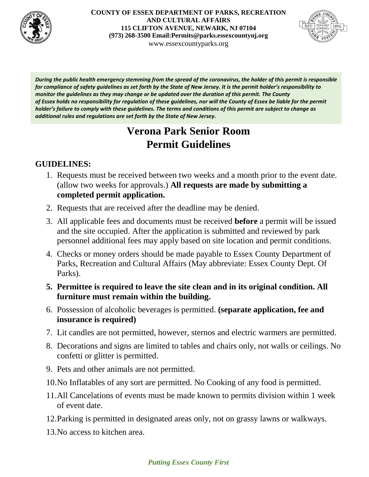

**COUNTY OF ESSEX DEPARTMENT OF PARKS, RECREATION AND CULTURAL AFFAIRS 115 CLIFTON AVENUE, NEWARK, NJ 07104 (973) 268-3500 Email:Permits@parks.essexcountynj.org** www.essexcountyparks.org



*During the public health emergency stemming from the spread of the coronavirus, the holder of this permit is responsible for compliance of safety guidelines as set forth by the State of New Jersey. It is the permit holder's responsibility to monitor the guidelines as they may change or be updated over the duration of this permit. The County of Essex holds no responsibility for regulation of these guidelines, nor will the County of Essex be liable for the permit holder's failure to comply with these guidelines. The terms and conditions of this permit are subject to change as additional rules and regulations are set forth by the State of New Jersey.*

# **Verona Park Senior Room Permit Guidelines**

## **GUIDELINES:**

- 1. Requests must be received between two weeks and a month prior to the event date. (allow two weeks for approvals.) **All requests are made by submitting a completed permit application.**
- 2. Requests that are received after the deadline may be denied.
- 3. All applicable fees and documents must be received **before** a permit will be issued and the site occupied. After the application is submitted and reviewed by park personnel additional fees may apply based on site location and permit conditions.
- 4. Checks or money orders should be made payable to Essex County Department of Parks, Recreation and Cultural Affairs (May abbreviate: Essex County Dept. Of Parks).
- **5. Permittee is required to leave the site clean and in its original condition. All furniture must remain within the building.**
- 6. Possession of alcoholic beverages is permitted. **(separate application, fee and insurance is required)**
- 7. Lit candles are not permitted, however, sternos and electric warmers are permitted.
- 8. Decorations and signs are limited to tables and chairs only, not walls or ceilings. No confetti or glitter is permitted.
- 9. Pets and other animals are not permitted.
- 10.No Inflatables of any sort are permitted. No Cooking of any food is permitted.
- 11.All Cancelations of events must be made known to permits division within 1 week of event date.
- 12.Parking is permitted in designated areas only, not on grassy lawns or walkways.
- 13.No access to kitchen area.

## *Putting Essex County First*